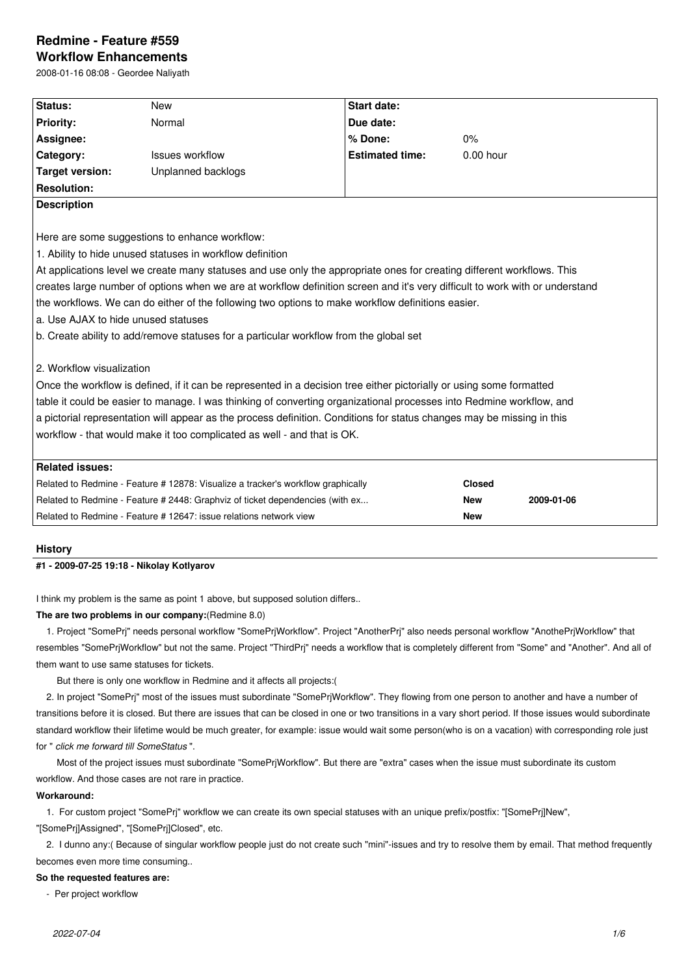# **Redmine - Feature #559**

**Workflow Enhancements** 2008-01-16 08:08 - Geordee Naliyath

| Status:                             | <b>New</b>                                                                                                                   | <b>Start date:</b>     |               |            |  |  |  |
|-------------------------------------|------------------------------------------------------------------------------------------------------------------------------|------------------------|---------------|------------|--|--|--|
| <b>Priority:</b>                    | Normal                                                                                                                       | Due date:              |               |            |  |  |  |
| Assignee:                           |                                                                                                                              | % Done:                | 0%            |            |  |  |  |
| Category:                           | <b>Issues workflow</b>                                                                                                       | <b>Estimated time:</b> | $0.00$ hour   |            |  |  |  |
| <b>Target version:</b>              | Unplanned backlogs                                                                                                           |                        |               |            |  |  |  |
| <b>Resolution:</b>                  |                                                                                                                              |                        |               |            |  |  |  |
| <b>Description</b>                  |                                                                                                                              |                        |               |            |  |  |  |
|                                     |                                                                                                                              |                        |               |            |  |  |  |
|                                     | Here are some suggestions to enhance workflow:                                                                               |                        |               |            |  |  |  |
|                                     | 1. Ability to hide unused statuses in workflow definition                                                                    |                        |               |            |  |  |  |
|                                     | At applications level we create many statuses and use only the appropriate ones for creating different workflows. This       |                        |               |            |  |  |  |
|                                     | creates large number of options when we are at workflow definition screen and it's very difficult to work with or understand |                        |               |            |  |  |  |
|                                     | the workflows. We can do either of the following two options to make workflow definitions easier.                            |                        |               |            |  |  |  |
| a. Use AJAX to hide unused statuses |                                                                                                                              |                        |               |            |  |  |  |
|                                     | b. Create ability to add/remove statuses for a particular workflow from the global set                                       |                        |               |            |  |  |  |
|                                     |                                                                                                                              |                        |               |            |  |  |  |
| 2. Workflow visualization           |                                                                                                                              |                        |               |            |  |  |  |
|                                     | Once the workflow is defined, if it can be represented in a decision tree either pictorially or using some formatted         |                        |               |            |  |  |  |
|                                     |                                                                                                                              |                        |               |            |  |  |  |
|                                     | table it could be easier to manage. I was thinking of converting organizational processes into Redmine workflow, and         |                        |               |            |  |  |  |
|                                     |                                                                                                                              |                        |               |            |  |  |  |
|                                     | a pictorial representation will appear as the process definition. Conditions for status changes may be missing in this       |                        |               |            |  |  |  |
|                                     | workflow - that would make it too complicated as well - and that is OK.                                                      |                        |               |            |  |  |  |
| <b>Related issues:</b>              |                                                                                                                              |                        |               |            |  |  |  |
|                                     | Related to Redmine - Feature # 12878: Visualize a tracker's workflow graphically                                             |                        | <b>Closed</b> |            |  |  |  |
|                                     | Related to Redmine - Feature # 2448: Graphviz of ticket dependencies (with ex                                                |                        | New           | 2009-01-06 |  |  |  |

# **History**

# **#1 - 2009-07-25 19:18 - Nikolay Kotlyarov**

I think my problem is the same as point 1 above, but supposed solution differs..

# **The are two problems in our company:**(Redmine 8.0)

 1. Project "SomePrj" needs personal workflow "SomePrjWorkflow". Project "AnotherPrj" also needs personal workflow "AnothePrjWorkflow" that resembles "SomePrjWorkflow" but not the same. Project "ThirdPrj" needs a workflow that is completely different from "Some" and "Another". And all of them want to use same statuses for tickets.

But there is only one workflow in Redmine and it affects all projects:(

 2. In project "SomePrj" most of the issues must subordinate "SomePrjWorkflow". They flowing from one person to another and have a number of transitions before it is closed. But there are issues that can be closed in one or two transitions in a vary short period. If those issues would subordinate standard workflow their lifetime would be much greater, for example: issue would wait some person(who is on a vacation) with corresponding role just for " *click me forward till SomeStatus* ".

Most of the project issues must subordinate "SomePrjWorkflow". But there are "extra" cases when the issue must subordinate its custom workflow. And those cases are not rare in practice.

# **Workaround:**

1. For custom project "SomePrj" workflow we can create its own special statuses with an unique prefix/postfix: "[SomePrj]New",

"[SomePrj]Assigned", "[SomePrj]Closed", etc.

 2. I dunno any:( Because of singular workflow people just do not create such "mini"-issues and try to resolve them by email. That method frequently becomes even more time consuming..

#### **So the requested features are:**

- Per project workflow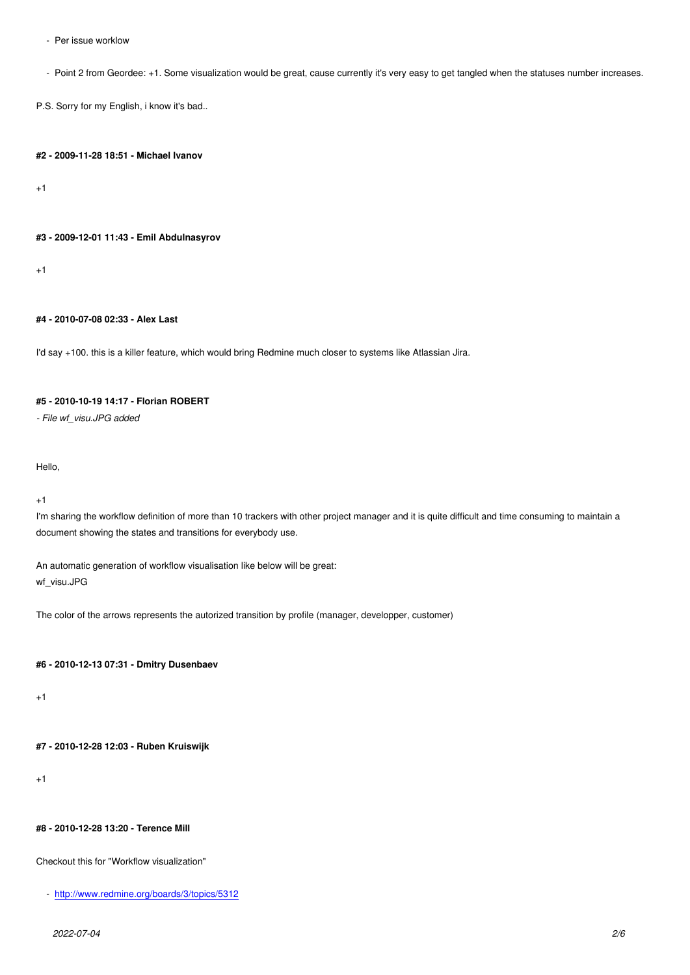- Point 2 from Geordee: +1. Some visualization would be great, cause currently it's very easy to get tangled when the statuses number increases.

P.S. Sorry for my English, i know it's bad..

#### **#2 - 2009-11-28 18:51 - Michael Ivanov**

+1

#### **#3 - 2009-12-01 11:43 - Emil Abdulnasyrov**

 $+1$ 

# **#4 - 2010-07-08 02:33 - Alex Last**

I'd say +100. this is a killer feature, which would bring Redmine much closer to systems like Atlassian Jira.

# **#5 - 2010-10-19 14:17 - Florian ROBERT**

*- File wf\_visu.JPG added*

Hello,

+1

I'm sharing the workflow definition of more than 10 trackers with other project manager and it is quite difficult and time consuming to maintain a document showing the states and transitions for everybody use.

An automatic generation of workflow visualisation like below will be great: wf\_visu.JPG

The color of the arrows represents the autorized transition by profile (manager, developper, customer)

# **#6 - 2010-12-13 07:31 - Dmitry Dusenbaev**

 $+1$ 

# **#7 - 2010-12-28 12:03 - Ruben Kruiswijk**

+1

#### **#8 - 2010-12-28 13:20 - Terence Mill**

Checkout this for "Workflow visualization"

- http://www.redmine.org/boards/3/topics/5312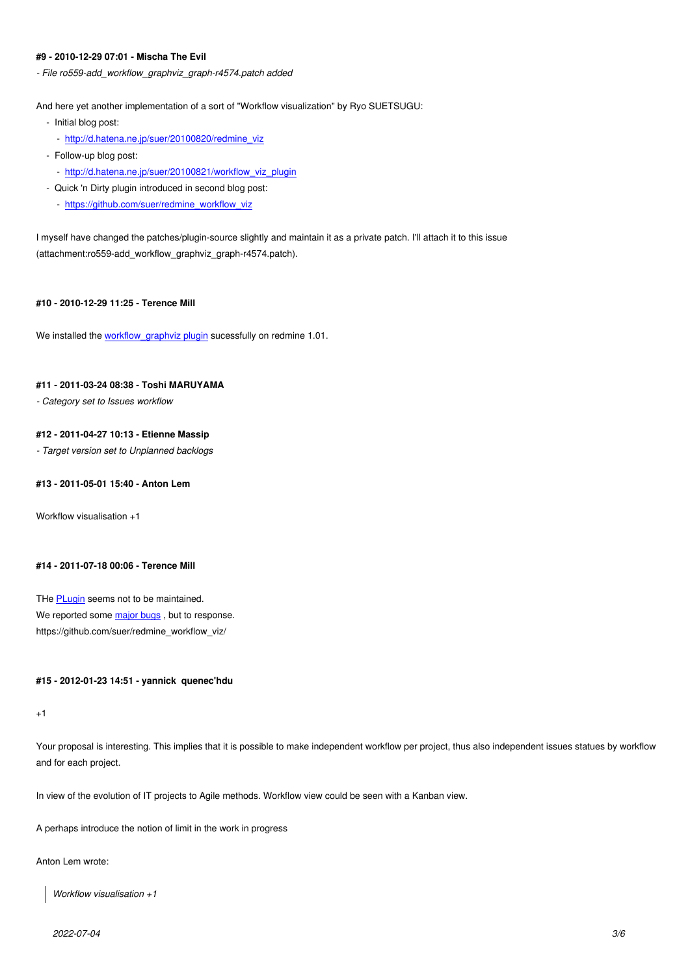#### **#9 - 2010-12-29 07:01 - Mischa The Evil**

*- File ro559-add\_workflow\_graphviz\_graph-r4574.patch added*

And here yet another implementation of a sort of "Workflow visualization" by Ryo SUETSUGU:

- Initial blog post:
	- http://d.hatena.ne.jp/suer/20100820/redmine\_viz
- Follow-up blog post:
	- http://d.hatena.ne.jp/suer/20100821/workflow\_viz\_plugin
- Quick 'n Dirty plugin introduced in second blog post:
	- [https://github.com/suer/redmine\\_workflow\\_viz](http://d.hatena.ne.jp/suer/20100820/redmine_viz)

I myse[lf have changed the patches/plugin-source slightly and m](http://d.hatena.ne.jp/suer/20100821/workflow_viz_plugin)aintain it as a private patch. I'll attach it to this issue (attach[ment:ro559-add\\_workflow\\_graphviz\\_graph-r45](https://github.com/suer/redmine_workflow_viz)74.patch).

### **#10 - 2010-12-29 11:25 - Terence Mill**

We installed the workflow\_graphviz plugin sucessfully on redmine 1.01.

#### **#11 - 2011-03-24 08:38 - Toshi MARUYAMA**

*- Category set t[o Issues workflow](https://github.com/suer/redmine_workflow_viz)*

### **#12 - 2011-04-27 10:13 - Etienne Massip**

*- Target version set to Unplanned backlogs*

#### **#13 - 2011-05-01 15:40 - Anton Lem**

Workflow visualisation +1

#### **#14 - 2011-07-18 00:06 - Terence Mill**

THe PLugin seems not to be maintained. We reported some major bugs, but to response. https://github.com/suer/redmine\_workflow\_viz/

# **#15 - 2012-01-23 [14:51 - yann](https://github.com/suer/redmine_workflow_viz/issues?sort=created&direction=desc&state=open&page=1)ick quenec'hdu**

+1

Your proposal is interesting. This implies that it is possible to make independent workflow per project, thus also independent issues statues by workflow and for each project.

In view of the evolution of IT projects to Agile methods. Workflow view could be seen with a Kanban view.

A perhaps introduce the notion of limit in the work in progress

Anton Lem wrote:

*Workflow visualisation +1*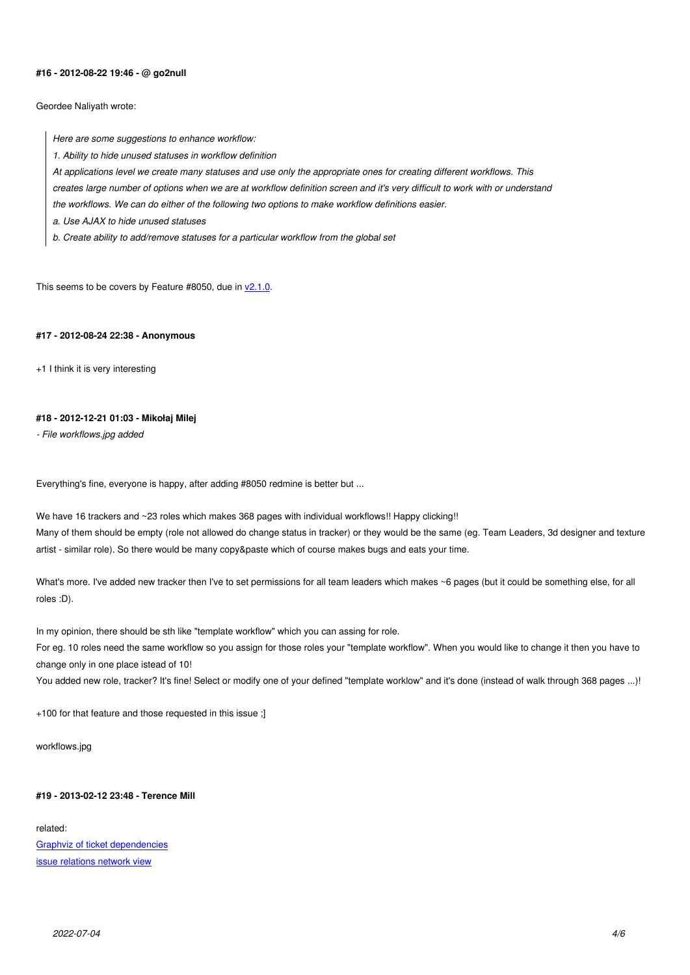#### **#16 - 2012-08-22 19:46 - @ go2null**

Geordee Naliyath wrote:

*Here are some suggestions to enhance workflow:*

*1. Ability to hide unused statuses in workflow definition*

*At applications level we create many statuses and use only the appropriate ones for creating different workflows. This*

*creates large number of options when we are at workflow definition screen and it's very difficult to work with or understand*

*the workflows. We can do either of the following two options to make workflow definitions easier.*

*a. Use AJAX to hide unused statuses*

*b. Create ability to add/remove statuses for a particular workflow from the global set*

This seems to be covers by Feature #8050, due in  $v2.1.0$ .

#### **#17 - 2012-08-24 22:38 - Anonymous**

+1 I think it is very interesting

#### **#18 - 2012-12-21 01:03 - Mikołaj Milej**

*- File workflows.jpg added*

Everything's fine, everyone is happy, after adding #8050 redmine is better but ...

We have 16 trackers and ~23 roles which makes 368 pages with individual workflows!! Happy clicking!! Many of them should be empty (role not allowed do change status in tracker) or they would be the same (eg. Team Leaders, 3d designer and texture artist - similar role). So there would be many copy&paste which of course makes bugs and eats your time.

What's more. I've added new tracker then I've to set permissions for all team leaders which makes ~6 pages (but it could be something else, for all roles :D).

In my opinion, there should be sth like "template workflow" which you can assing for role. For eg. 10 roles need the same workflow so you assign for those roles your "template workflow". When you would like to change it then you have to change only in one place istead of 10!

You added new role, tracker? It's fine! Select or modify one of your defined "template worklow" and it's done (instead of walk through 368 pages ...)!

+100 for that feature and those requested in this issue ;]

workflows.jpg

#### **#19 - 2013-02-12 23:48 - Terence Mill**

related: Graphviz of ticket dependencies issue relations network view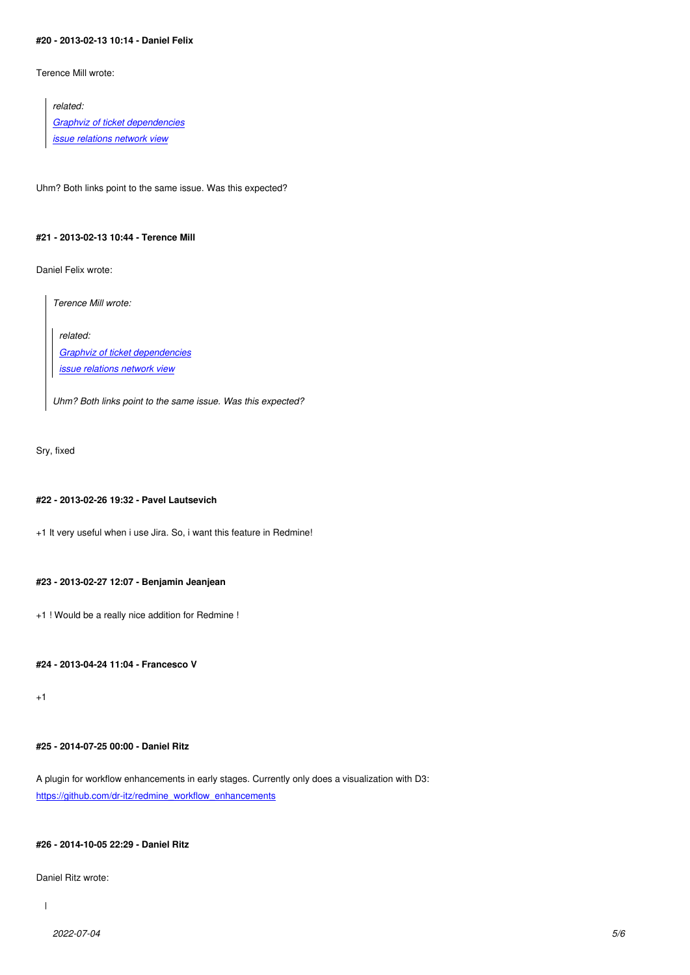Terence Mill wrote:

*related: Graphviz of ticket dependencies issue relations network view*

Uh[m? Both links point to the same is](http://www.redmine.org/issues/12647)sue. Was this expected?

#### **#21 - 2013-02-13 10:44 - Terence Mill**

Daniel Felix wrote:

*Terence Mill wrote:*

*related: Graphviz of ticket dependencies*

*issue relations network view*

*[Uhm? Both links point to the same](http://www.redmine.org/issues/12647) issue. Was this expected?*

Sry, fixed

# **#22 - 2013-02-26 19:32 - Pavel Lautsevich**

+1 It very useful when i use Jira. So, i want this feature in Redmine!

#### **#23 - 2013-02-27 12:07 - Benjamin Jeanjean**

+1 ! Would be a really nice addition for Redmine !

# **#24 - 2013-04-24 11:04 - Francesco V**

+1

# **#25 - 2014-07-25 00:00 - Daniel Ritz**

A plugin for workflow enhancements in early stages. Currently only does a visualization with D3: https://github.com/dr-itz/redmine\_workflow\_enhancements

# **[#26 - 2014-10-05 22:29 - Daniel Ritz](https://github.com/dr-itz/redmine_workflow_enhancements)**

Daniel Ritz wrote:

 $\overline{\phantom{a}}$